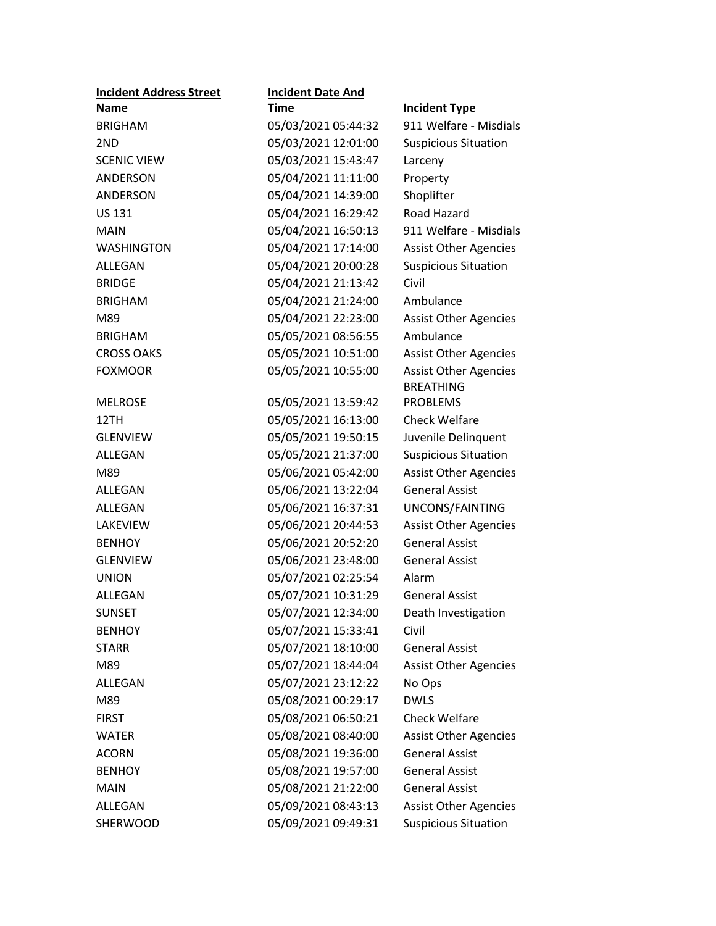| <b>Incident Address Street</b> | <b>Incident Date And</b> |                              |
|--------------------------------|--------------------------|------------------------------|
| Name                           | <b>Time</b>              | <b>Incident Type</b>         |
| <b>BRIGHAM</b>                 | 05/03/2021 05:44:32      | 911 Welfare - Misdials       |
| 2ND                            | 05/03/2021 12:01:00      | <b>Suspicious Situation</b>  |
| <b>SCENIC VIEW</b>             | 05/03/2021 15:43:47      | Larceny                      |
| ANDERSON                       | 05/04/2021 11:11:00      | Property                     |
| ANDERSON                       | 05/04/2021 14:39:00      | Shoplifter                   |
| <b>US 131</b>                  | 05/04/2021 16:29:42      | Road Hazard                  |
| <b>MAIN</b>                    | 05/04/2021 16:50:13      | 911 Welfare - Misdials       |
| <b>WASHINGTON</b>              | 05/04/2021 17:14:00      | <b>Assist Other Agencies</b> |
| ALLEGAN                        | 05/04/2021 20:00:28      | <b>Suspicious Situation</b>  |
| <b>BRIDGE</b>                  | 05/04/2021 21:13:42      | Civil                        |
| <b>BRIGHAM</b>                 | 05/04/2021 21:24:00      | Ambulance                    |
| M89                            | 05/04/2021 22:23:00      | <b>Assist Other Agencies</b> |
| <b>BRIGHAM</b>                 | 05/05/2021 08:56:55      | Ambulance                    |
| <b>CROSS OAKS</b>              | 05/05/2021 10:51:00      | <b>Assist Other Agencies</b> |
| <b>FOXMOOR</b>                 | 05/05/2021 10:55:00      | <b>Assist Other Agencies</b> |
|                                |                          | <b>BREATHING</b>             |
| <b>MELROSE</b>                 | 05/05/2021 13:59:42      | <b>PROBLEMS</b>              |
| 12TH                           | 05/05/2021 16:13:00      | <b>Check Welfare</b>         |
| <b>GLENVIEW</b>                | 05/05/2021 19:50:15      | Juvenile Delinquent          |
| ALLEGAN                        | 05/05/2021 21:37:00      | <b>Suspicious Situation</b>  |
| M89                            | 05/06/2021 05:42:00      | <b>Assist Other Agencies</b> |
| <b>ALLEGAN</b>                 | 05/06/2021 13:22:04      | <b>General Assist</b>        |
| ALLEGAN                        | 05/06/2021 16:37:31      | UNCONS/FAINTING              |
| LAKEVIEW                       | 05/06/2021 20:44:53      | <b>Assist Other Agencies</b> |
| <b>BENHOY</b>                  | 05/06/2021 20:52:20      | <b>General Assist</b>        |
| <b>GLENVIEW</b>                | 05/06/2021 23:48:00      | <b>General Assist</b>        |
| <b>UNION</b>                   | 05/07/2021 02:25:54      | Alarm                        |
| ALLEGAN                        | 05/07/2021 10:31:29      | <b>General Assist</b>        |
| <b>SUNSET</b>                  | 05/07/2021 12:34:00      | Death Investigation          |
| <b>BENHOY</b>                  | 05/07/2021 15:33:41      | Civil                        |
| <b>STARR</b>                   | 05/07/2021 18:10:00      | <b>General Assist</b>        |
| M89                            | 05/07/2021 18:44:04      | <b>Assist Other Agencies</b> |
| ALLEGAN                        | 05/07/2021 23:12:22      | No Ops                       |
| M89                            | 05/08/2021 00:29:17      | <b>DWLS</b>                  |
| <b>FIRST</b>                   | 05/08/2021 06:50:21      | <b>Check Welfare</b>         |
| <b>WATER</b>                   | 05/08/2021 08:40:00      | <b>Assist Other Agencies</b> |
| <b>ACORN</b>                   | 05/08/2021 19:36:00      | <b>General Assist</b>        |
| <b>BENHOY</b>                  | 05/08/2021 19:57:00      | <b>General Assist</b>        |
| <b>MAIN</b>                    | 05/08/2021 21:22:00      | <b>General Assist</b>        |
| ALLEGAN                        | 05/09/2021 08:43:13      | <b>Assist Other Agencies</b> |
| SHERWOOD                       | 05/09/2021 09:49:31      | <b>Suspicious Situation</b>  |